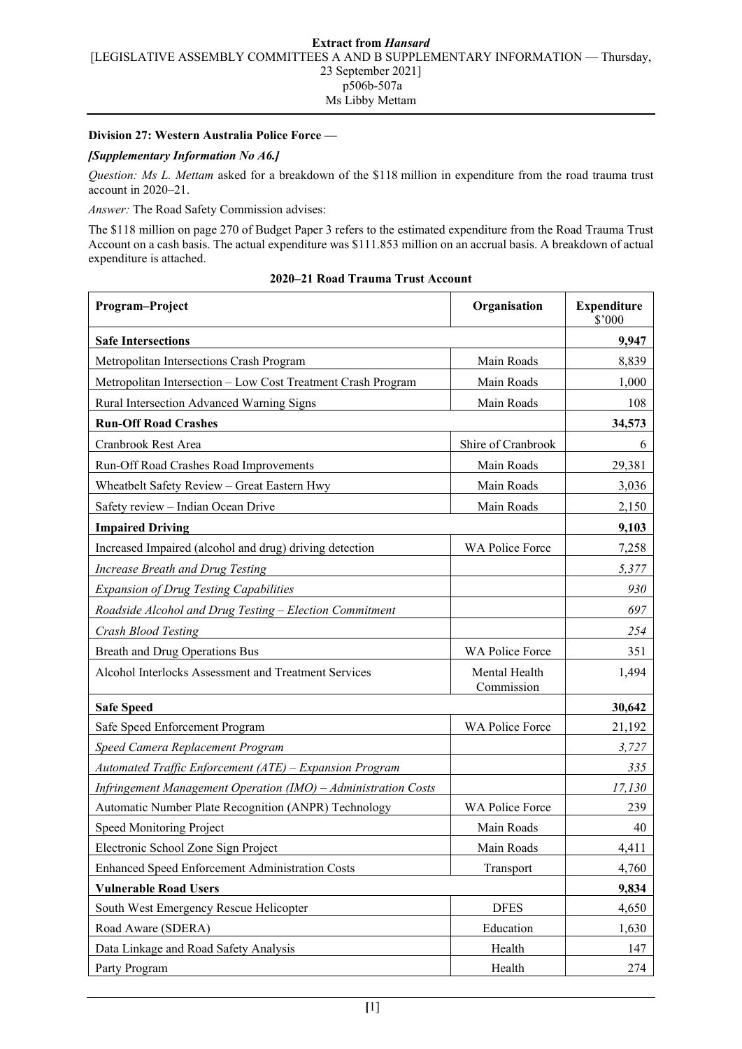## **Division 27: Western Australia Police Force —**

## *[Supplementary Information No A6.]*

*Question: Ms L. Mettam* asked for a breakdown of the \$118 million in expenditure from the road trauma trust account in 2020–21.

*Answer:* The Road Safety Commission advises:

The \$118 million on page 270 of Budget Paper 3 refers to the estimated expenditure from the Road Trauma Trust Account on a cash basis. The actual expenditure was \$111.853 million on an accrual basis. A breakdown of actual expenditure is attached.

| Program-Project                                                | Organisation                | <b>Expenditure</b><br>\$'000 |
|----------------------------------------------------------------|-----------------------------|------------------------------|
| <b>Safe Intersections</b>                                      | 9,947                       |                              |
| Metropolitan Intersections Crash Program                       | Main Roads                  | 8,839                        |
| Metropolitan Intersection - Low Cost Treatment Crash Program   | Main Roads                  | 1,000                        |
| Rural Intersection Advanced Warning Signs                      | Main Roads                  | 108                          |
| <b>Run-Off Road Crashes</b>                                    |                             | 34,573                       |
| Cranbrook Rest Area                                            | Shire of Cranbrook          | 6                            |
| Run-Off Road Crashes Road Improvements                         | Main Roads                  | 29,381                       |
| Wheatbelt Safety Review - Great Eastern Hwy                    | Main Roads                  | 3,036                        |
| Safety review - Indian Ocean Drive                             | Main Roads                  | 2,150                        |
| <b>Impaired Driving</b>                                        |                             | 9,103                        |
| Increased Impaired (alcohol and drug) driving detection        | WA Police Force             | 7,258                        |
| Increase Breath and Drug Testing                               |                             | 5,377                        |
| <b>Expansion of Drug Testing Capabilities</b>                  |                             | 930                          |
| Roadside Alcohol and Drug Testing - Election Commitment        |                             | 697                          |
| Crash Blood Testing                                            |                             | 254                          |
| Breath and Drug Operations Bus                                 | WA Police Force             | 351                          |
| Alcohol Interlocks Assessment and Treatment Services           | Mental Health<br>Commission | 1,494                        |
| <b>Safe Speed</b>                                              |                             | 30,642                       |
| Safe Speed Enforcement Program                                 | WA Police Force             | 21,192                       |
| Speed Camera Replacement Program                               |                             | 3,727                        |
| Automated Traffic Enforcement (ATE) - Expansion Program        |                             | 335                          |
| Infringement Management Operation (IMO) - Administration Costs |                             | 17,130                       |
| Automatic Number Plate Recognition (ANPR) Technology           | WA Police Force             | 239                          |
| Speed Monitoring Project                                       | Main Roads                  | 40                           |
| Electronic School Zone Sign Project                            | Main Roads                  | 4,411                        |
| Enhanced Speed Enforcement Administration Costs                | Transport                   | 4,760                        |
| <b>Vulnerable Road Users</b>                                   |                             | 9,834                        |
| South West Emergency Rescue Helicopter                         | <b>DFES</b>                 | 4,650                        |
| Road Aware (SDERA)                                             | Education                   | 1,630                        |
| Data Linkage and Road Safety Analysis                          | Health                      | 147                          |
| Party Program                                                  | Health                      | 274                          |

## **2020–21 Road Trauma Trust Account**